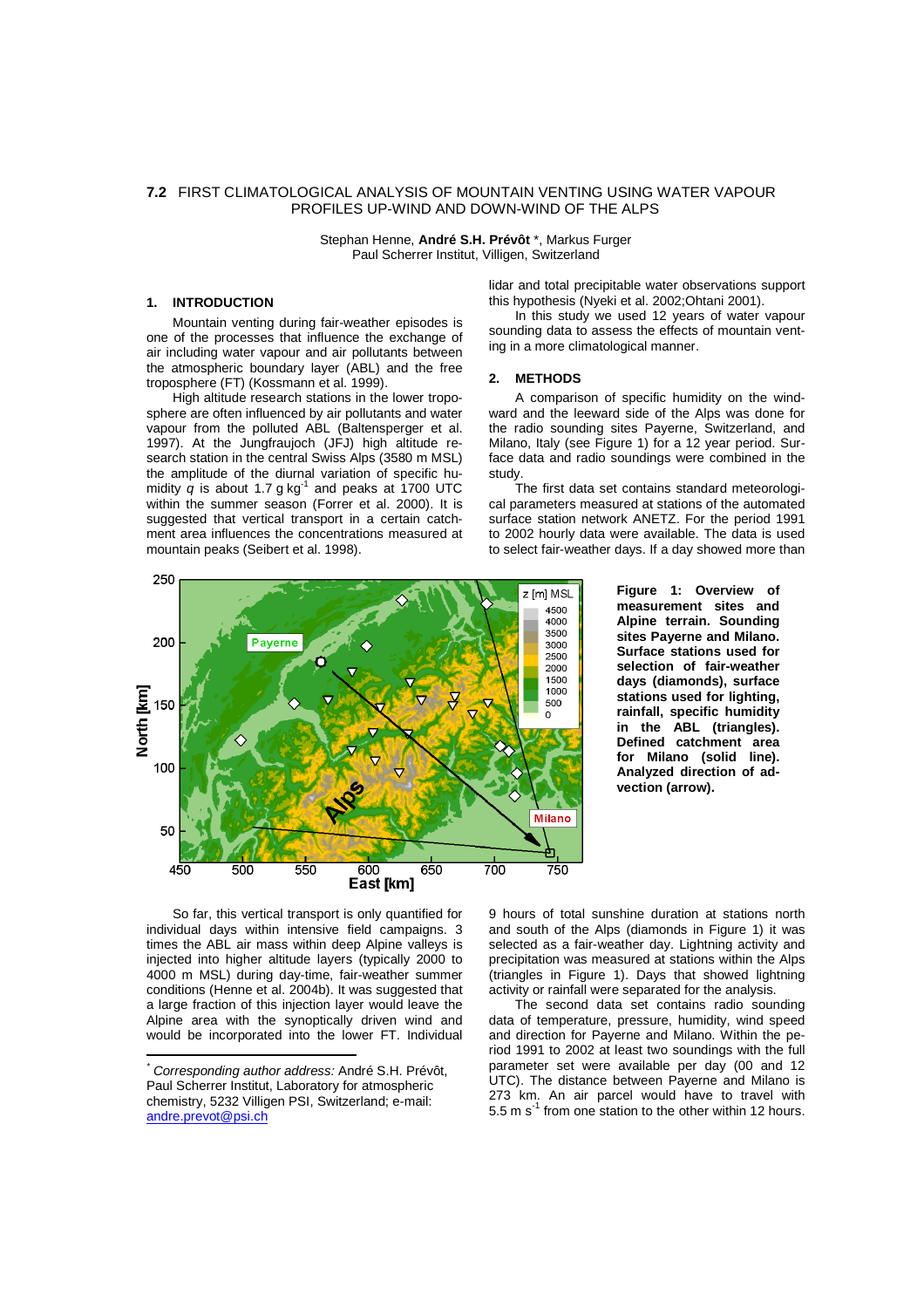# **7.2** FIRST CLIMATOLOGICAL ANALYSIS OF MOUNTAIN VENTING USING WATER VAPOUR PROFILES UP-WIND AND DOWN-WIND OF THE ALPS

Stephan Henne, **André S.H. Prévôt** \*, Markus Furger Paul Scherrer Institut, Villigen, Switzerland

# **1. INTRODUCTION \***

Mountain venting during fair-weather episodes is one of the processes that influence the exchange of air including water vapour and air pollutants between the atmospheric boundary layer (ABL) and the free troposphere (FT) (Kossmann et al. 1999).

High altitude research stations in the lower troposphere are often influenced by air pollutants and water vapour from the polluted ABL (Baltensperger et al. 1997). At the Jungfraujoch (JFJ) high altitude research station in the central Swiss Alps (3580 m MSL) the amplitude of the diurnal variation of specific humidity  $q$  is about 1.7 g kg<sup>-1</sup> and peaks at 1700 UTC within the summer season (Forrer et al. 2000). It is suggested that vertical transport in a certain catchment area influences the concentrations measured at mountain peaks (Seibert et al. 1998).



sounding data to assess the effects of mountain venting in a more climatological manner.

### **2. METHODS**

A comparison of specific humidity on the windward and the leeward side of the Alps was done for the radio sounding sites Payerne, Switzerland, and Milano, Italy (see Figure 1) for a 12 year period. Surface data and radio soundings were combined in the study.

The first data set contains standard meteorological parameters measured at stations of the automated surface station network ANETZ. For the period 1991 to 2002 hourly data were available. The data is used to select fair-weather days. If a day showed more than



**Figure 1: Overview of measurement sites and Alpine terrain. Sounding sites Payerne and Milano. Surface stations used for selection of fair-weather days (diamonds), surface stations used for lighting, rainfall, specific humidity in the ABL (triangles). Defined catchment area for Milano (solid line). Analyzed direction of advection (arrow).**

So far, this vertical transport is only quantified for individual days within intensive field campaigns. 3 times the ABL air mass within deep Alpine valleys is injected into higher altitude layers (typically 2000 to 4000 m MSL) during day-time, fair-weather summer conditions (Henne et al. 2004b). It was suggested that a large fraction of this injection layer would leave the Alpine area with the synoptically driven wind and would be incorporated into the lower FT. Individual 9 hours of total sunshine duration at stations north and south of the Alps (diamonds in Figure 1) it was selected as a fair-weather day. Lightning activity and precipitation was measured at stations within the Alps (triangles in Figure 1). Days that showed lightning activity or rainfall were separated for the analysis.

The second data set contains radio sounding data of temperature, pressure, humidity, wind speed and direction for Payerne and Milano. Within the period 1991 to 2002 at least two soundings with the full parameter set were available per day (00 and 12 UTC). The distance between Payerne and Milano is 273 km. An air parcel would have to travel with 5.5 m  $s^{-1}$  from one station to the other within 12 hours.

Corresponding author address: André S.H. Prévôt, Paul Scherrer Institut, Laboratory for atmospheric chemistry, 5232 Villigen PSI, Switzerland; e-mail: andre.prevot@psi.ch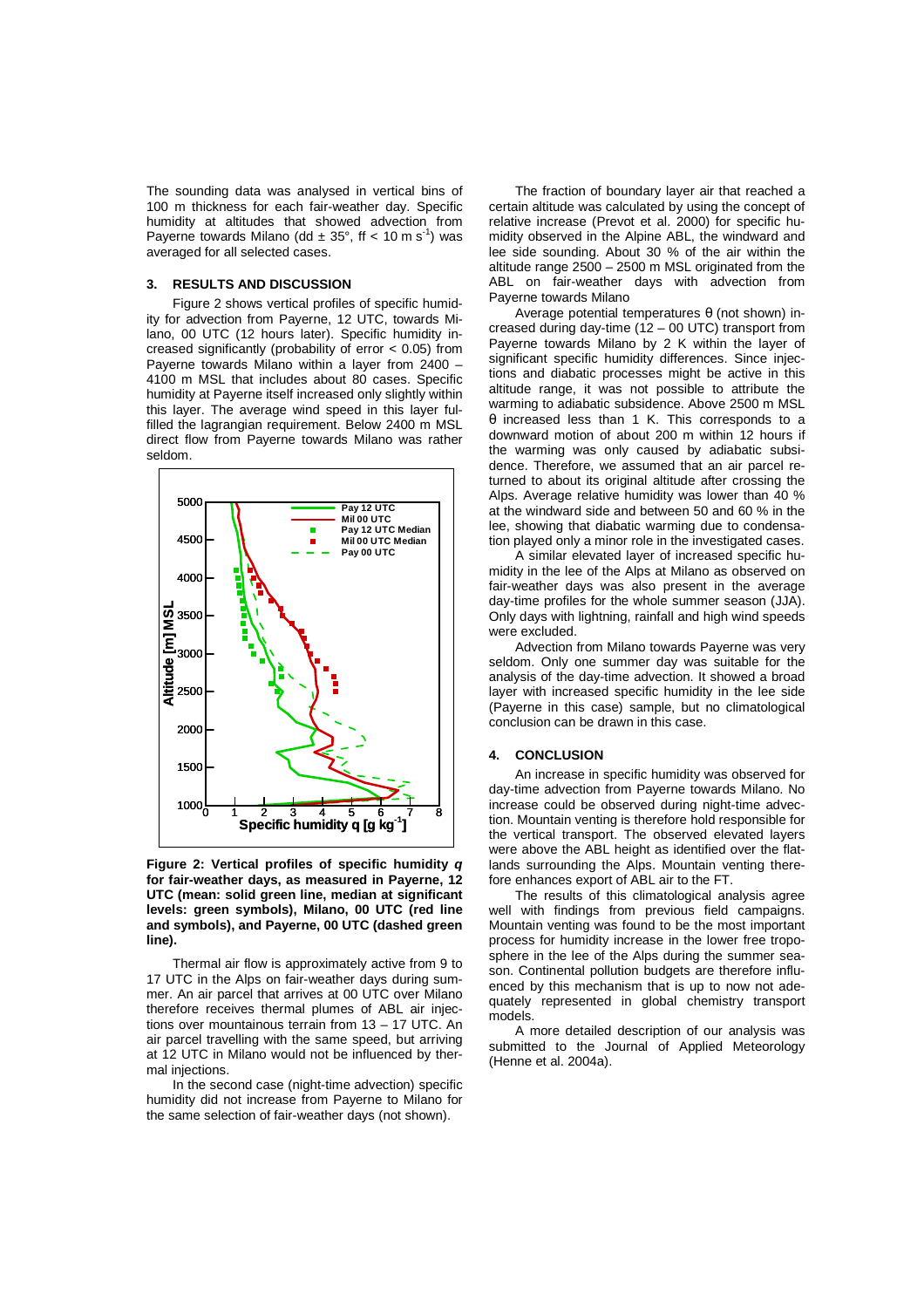The sounding data was analysed in vertical bins of 100 m thickness for each fair-weather day. Specific humidity at altitudes that showed advection from Payerne towards Milano (dd  $\pm$  35°, ff < 10 m s<sup>-1</sup>) was averaged for all selected cases.

### **3. RESULTS AND DISCUSSION**

Figure 2 shows vertical profiles of specific humidity for advection from Payerne, 12 UTC, towards Milano, 00 UTC (12 hours later). Specific humidity increased significantly (probability of error < 0.05) from Payerne towards Milano within a layer from 2400 – 4100 m MSL that includes about 80 cases. Specific humidity at Payerne itself increased only slightly within this layer. The average wind speed in this layer fulfilled the lagrangian requirement. Below 2400 m MSL direct flow from Payerne towards Milano was rather seldom.



**Figure 2: Vertical profiles of specific humidity q for fair-weather days, as measured in Payerne, 12 UTC (mean: solid green line, median at significant levels: green symbols), Milano, 00 UTC (red line and symbols), and Payerne, 00 UTC (dashed green line).**

Thermal air flow is approximately active from 9 to 17 UTC in the Alps on fair-weather days during summer. An air parcel that arrives at 00 UTC over Milano therefore receives thermal plumes of ABL air injections over mountainous terrain from 13 – 17 UTC. An air parcel travelling with the same speed, but arriving at 12 UTC in Milano would not be influenced by thermal injections.

In the second case (night-time advection) specific humidity did not increase from Payerne to Milano for the same selection of fair-weather days (not shown).

The fraction of boundary layer air that reached a certain altitude was calculated by using the concept of relative increase (Prevot et al. 2000) for specific humidity observed in the Alpine ABL, the windward and lee side sounding. About 30 % of the air within the altitude range 2500 – 2500 m MSL originated from the ABL on fair-weather days with advection from Payerne towards Milano

Average potential temperatures  $θ$  (not shown) increased during day-time (12 – 00 UTC) transport from Payerne towards Milano by 2 K within the layer of significant specific humidity differences. Since injections and diabatic processes might be active in this altitude range, it was not possible to attribute the warming to adiabatic subsidence. Above 2500 m MSL θ increased less than 1 K. This corresponds to a downward motion of about 200 m within 12 hours if the warming was only caused by adiabatic subsidence. Therefore, we assumed that an air parcel returned to about its original altitude after crossing the Alps. Average relative humidity was lower than 40 % at the windward side and between 50 and 60 % in the lee, showing that diabatic warming due to condensation played only a minor role in the investigated cases.

A similar elevated layer of increased specific humidity in the lee of the Alps at Milano as observed on fair-weather days was also present in the average day-time profiles for the whole summer season (JJA). Only days with lightning, rainfall and high wind speeds were excluded.

Advection from Milano towards Payerne was very seldom. Only one summer day was suitable for the analysis of the day-time advection. It showed a broad layer with increased specific humidity in the lee side (Payerne in this case) sample, but no climatological conclusion can be drawn in this case.

### **4. CONCLUSION**

An increase in specific humidity was observed for day-time advection from Payerne towards Milano. No increase could be observed during night-time advection. Mountain venting is therefore hold responsible for the vertical transport. The observed elevated layers were above the ABL height as identified over the flatlands surrounding the Alps. Mountain venting therefore enhances export of ABL air to the FT.

The results of this climatological analysis agree well with findings from previous field campaigns. Mountain venting was found to be the most important process for humidity increase in the lower free troposphere in the lee of the Alps during the summer season. Continental pollution budgets are therefore influenced by this mechanism that is up to now not adequately represented in global chemistry transport models.

A more detailed description of our analysis was submitted to the Journal of Applied Meteorology (Henne et al. 2004a).